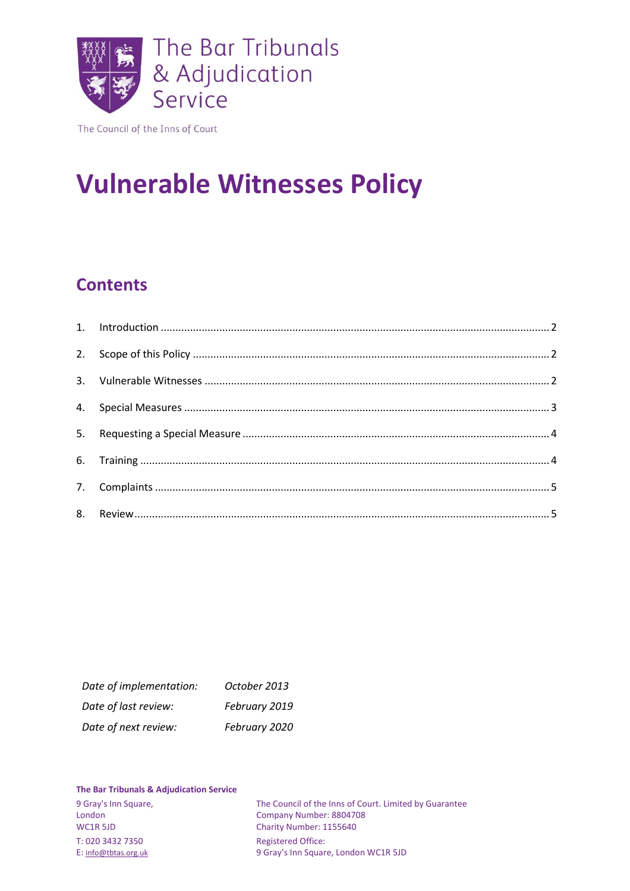

The Council of the Inns of Court

# **Vulnerable Witnesses Policy**

# **Contents**

| Date of implementation: | October 2013  |
|-------------------------|---------------|
| Date of last review:    | February 2019 |
| Date of next review:    | February 2020 |

#### **The Bar Tribunals & Adjudication Service**

T: 020 3432 7350 Registered Office:<br>
E: info@tbtas.org.uk 9 Gray's Inn Squar

9 Gray's Inn Square, The Council of the Inns of Court. Limited by Guarantee London<br>Company Number: 8804708 London Company Number: 8804708<br>
WC1R 5JD Charity Number: 1155640 Charity Number: 1155640 9 Gray's Inn Square, London WC1R 5JD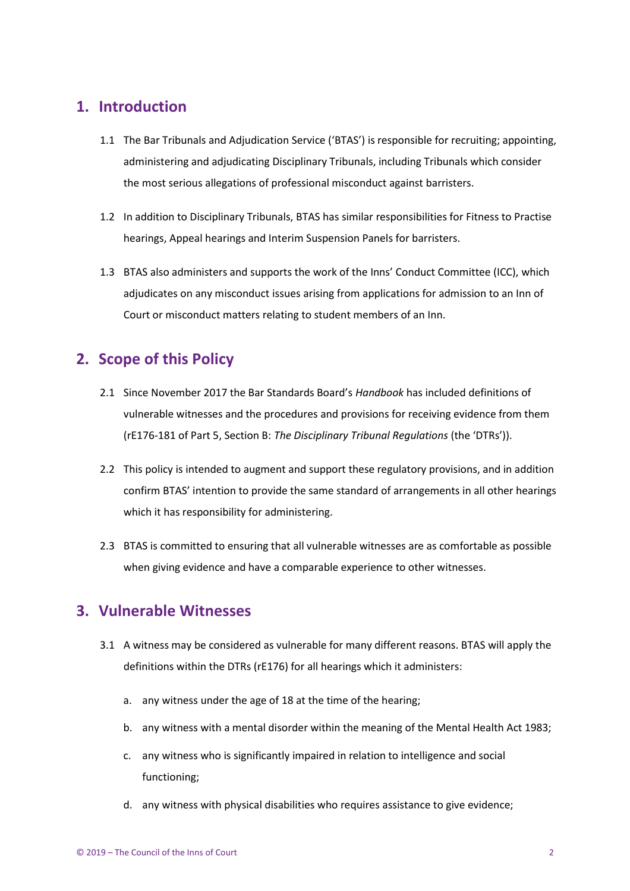### <span id="page-1-0"></span>**1. Introduction**

- 1.1 The Bar Tribunals and Adjudication Service ('BTAS') is responsible for recruiting; appointing, administering and adjudicating Disciplinary Tribunals, including Tribunals which consider the most serious allegations of professional misconduct against barristers.
- 1.2 In addition to Disciplinary Tribunals, BTAS has similar responsibilities for Fitness to Practise hearings, Appeal hearings and Interim Suspension Panels for barristers.
- 1.3 BTAS also administers and supports the work of the Inns' Conduct Committee (ICC), which adjudicates on any misconduct issues arising from applications for admission to an Inn of Court or misconduct matters relating to student members of an Inn.

### <span id="page-1-1"></span>**2. Scope of this Policy**

- 2.1 Since November 2017 the Bar Standards Board's *Handbook* has included definitions of vulnerable witnesses and the procedures and provisions for receiving evidence from them (rE176-181 of Part 5, Section B: *The Disciplinary Tribunal Regulations* (the 'DTRs')).
- 2.2 This policy is intended to augment and support these regulatory provisions, and in addition confirm BTAS' intention to provide the same standard of arrangements in all other hearings which it has responsibility for administering.
- 2.3 BTAS is committed to ensuring that all vulnerable witnesses are as comfortable as possible when giving evidence and have a comparable experience to other witnesses.

#### <span id="page-1-2"></span>**3. Vulnerable Witnesses**

- 3.1 A witness may be considered as vulnerable for many different reasons. BTAS will apply the definitions within the DTRs (rE176) for all hearings which it administers:
	- a. any witness under the age of 18 at the time of the hearing;
	- b. any witness with a mental disorder within the meaning of the Mental Health Act 1983;
	- c. any witness who is significantly impaired in relation to intelligence and social functioning;
	- d. any witness with physical disabilities who requires assistance to give evidence;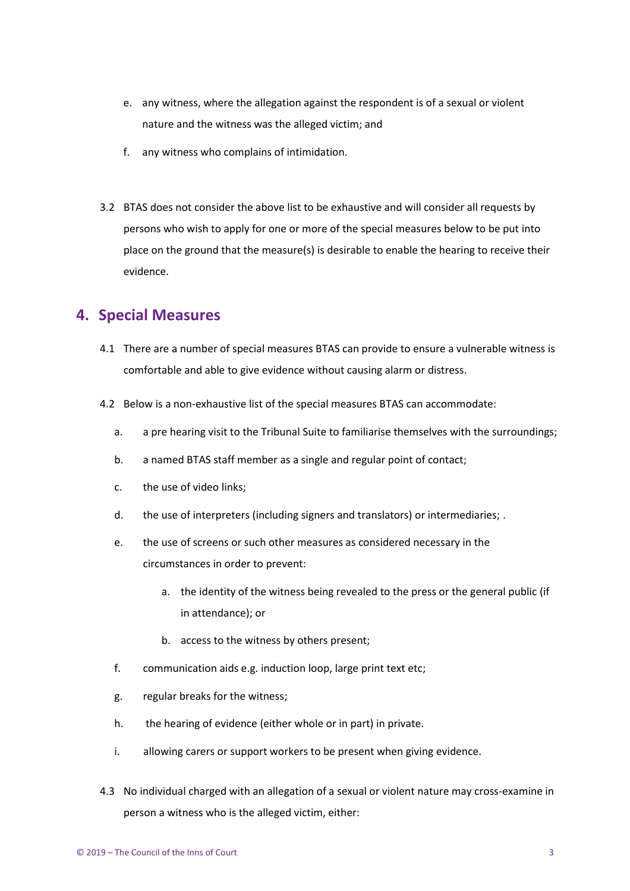- e. any witness, where the allegation against the respondent is of a sexual or violent nature and the witness was the alleged victim; and
- f. any witness who complains of intimidation.
- 3.2 BTAS does not consider the above list to be exhaustive and will consider all requests by persons who wish to apply for one or more of the special measures below to be put into place on the ground that the measure(s) is desirable to enable the hearing to receive their evidence.

#### <span id="page-2-0"></span>**4. Special Measures**

- 4.1 There are a number of special measures BTAS can provide to ensure a vulnerable witness is comfortable and able to give evidence without causing alarm or distress.
- 4.2 Below is a non-exhaustive list of the special measures BTAS can accommodate:
	- a. a pre hearing visit to the Tribunal Suite to familiarise themselves with the surroundings;
	- b. a named BTAS staff member as a single and regular point of contact;
	- c. the use of video links;
	- d. the use of interpreters (including signers and translators) or intermediaries; .
	- e. the use of screens or such other measures as considered necessary in the circumstances in order to prevent:
		- a. the identity of the witness being revealed to the press or the general public (if in attendance); or
		- b. access to the witness by others present;
	- f. communication aids e.g. induction loop, large print text etc;
	- g. regular breaks for the witness;
	- h. the hearing of evidence (either whole or in part) in private.
	- i. allowing carers or support workers to be present when giving evidence.
- 4.3 No individual charged with an allegation of a sexual or violent nature may cross-examine in person a witness who is the alleged victim, either: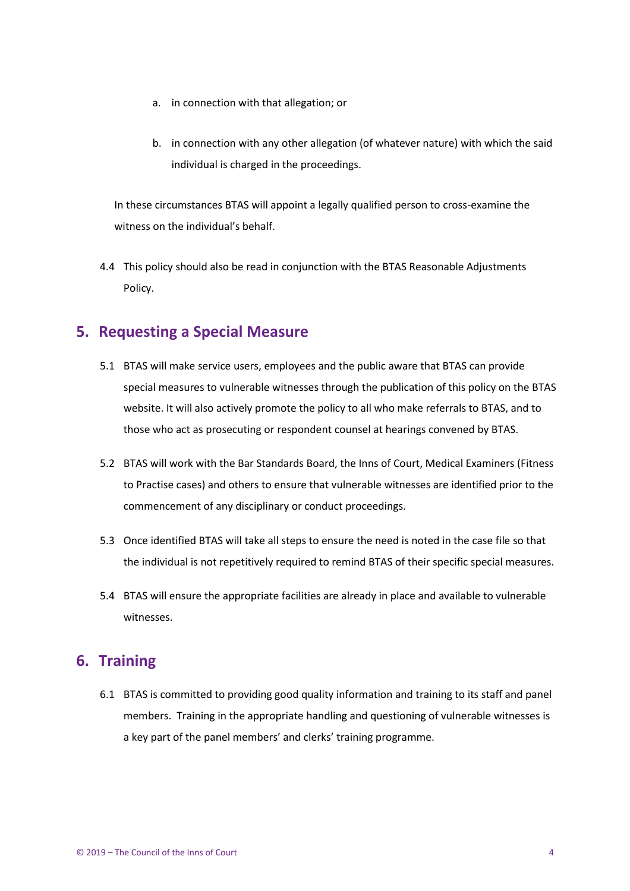- a. in connection with that allegation; or
- b. in connection with any other allegation (of whatever nature) with which the said individual is charged in the proceedings.

In these circumstances BTAS will appoint a legally qualified person to cross-examine the witness on the individual's behalf.

4.4 This policy should also be read in conjunction with the BTAS Reasonable Adjustments Policy.

#### <span id="page-3-0"></span>**5. Requesting a Special Measure**

- 5.1 BTAS will make service users, employees and the public aware that BTAS can provide special measures to vulnerable witnesses through the publication of this policy on the BTAS website. It will also actively promote the policy to all who make referrals to BTAS, and to those who act as prosecuting or respondent counsel at hearings convened by BTAS.
- 5.2 BTAS will work with the Bar Standards Board, the Inns of Court, Medical Examiners (Fitness to Practise cases) and others to ensure that vulnerable witnesses are identified prior to the commencement of any disciplinary or conduct proceedings.
- 5.3 Once identified BTAS will take all steps to ensure the need is noted in the case file so that the individual is not repetitively required to remind BTAS of their specific special measures.
- 5.4 BTAS will ensure the appropriate facilities are already in place and available to vulnerable witnesses.

#### <span id="page-3-1"></span>**6. Training**

6.1 BTAS is committed to providing good quality information and training to its staff and panel members. Training in the appropriate handling and questioning of vulnerable witnesses is a key part of the panel members' and clerks' training programme.